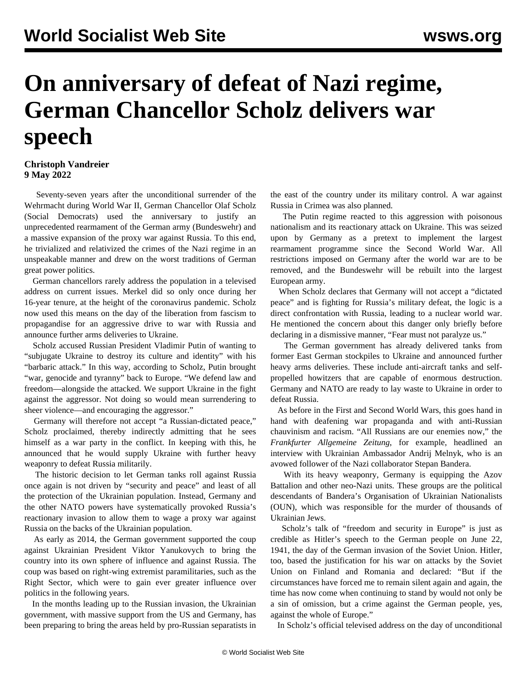## **On anniversary of defeat of Nazi regime, German Chancellor Scholz delivers war speech**

## **Christoph Vandreier 9 May 2022**

 Seventy-seven years after the unconditional surrender of the Wehrmacht during World War II, German Chancellor Olaf Scholz (Social Democrats) used the anniversary to justify an unprecedented rearmament of the German army (Bundeswehr) and a massive expansion of the proxy war against Russia. To this end, he trivialized and relativized the crimes of the Nazi regime in an unspeakable manner and drew on the worst traditions of German great power politics.

 German chancellors rarely address the population in a televised address on current issues. Merkel did so only once during her 16-year tenure, at the height of the coronavirus pandemic. Scholz now used this means on the day of the liberation from fascism to propagandise for an aggressive drive to war with Russia and announce further arms deliveries to Ukraine.

 Scholz accused Russian President Vladimir Putin of wanting to "subjugate Ukraine to destroy its culture and identity" with his "barbaric attack." In this way, according to Scholz, Putin brought "war, genocide and tyranny" back to Europe. "We defend law and freedom—alongside the attacked. We support Ukraine in the fight against the aggressor. Not doing so would mean surrendering to sheer violence—and encouraging the aggressor."

 Germany will therefore not accept "a Russian-dictated peace," Scholz proclaimed, thereby indirectly admitting that he sees himself as a war party in the conflict. In keeping with this, he announced that he would supply Ukraine with further heavy weaponry to defeat Russia militarily.

 The historic decision to let German tanks roll against Russia once again is not driven by "security and peace" and least of all the protection of the Ukrainian population. Instead, Germany and the other NATO powers have systematically provoked Russia's reactionary invasion to allow them to wage a proxy war against Russia on the backs of the Ukrainian population.

 As early as 2014, the German government supported the coup against Ukrainian President Viktor Yanukovych to bring the country into its own sphere of influence and against Russia. The coup was based on right-wing extremist paramilitaries, such as the Right Sector, which were to gain ever greater influence over politics in the following years.

 In the months leading up to the Russian invasion, the Ukrainian government, with massive support from the US and Germany, has been preparing to bring the areas held by pro-Russian separatists in the east of the country under its military control. A war against Russia in Crimea was also planned.

 The Putin regime reacted to this aggression with poisonous nationalism and its reactionary attack on Ukraine. This was seized upon by Germany as a pretext to implement the largest rearmament programme since the Second World War. All restrictions imposed on Germany after the world war are to be removed, and the Bundeswehr will be rebuilt into the largest European army.

 When Scholz declares that Germany will not accept a "dictated peace" and is fighting for Russia's military defeat, the logic is a direct confrontation with Russia, leading to a nuclear world war. He mentioned the concern about this danger only briefly before declaring in a dismissive manner, "Fear must not paralyze us."

 The German government has already delivered tanks from former East German stockpiles to Ukraine and announced further heavy arms deliveries. These include anti-aircraft tanks and selfpropelled howitzers that are capable of enormous destruction. Germany and NATO are ready to lay waste to Ukraine in order to defeat Russia.

 As before in the First and Second World Wars, this goes hand in hand with deafening war propaganda and with anti-Russian chauvinism and racism. "All Russians are our enemies now," the *Frankfurter Allgemeine Zeitung*, for example, headlined an interview with Ukrainian Ambassador Andrij Melnyk, who is an avowed follower of the Nazi collaborator Stepan Bandera.

 With its heavy weaponry, Germany is equipping the Azov Battalion and other neo-Nazi units. These groups are the political descendants of Bandera's Organisation of Ukrainian Nationalists (OUN), which was responsible for the murder of thousands of Ukrainian Jews.

 Scholz's talk of "freedom and security in Europe" is just as credible as Hitler's speech to the German people on June 22, 1941, the day of the German invasion of the Soviet Union. Hitler, too, based the justification for his war on attacks by the Soviet Union on Finland and Romania and declared: "But if the circumstances have forced me to remain silent again and again, the time has now come when continuing to stand by would not only be a sin of omission, but a crime against the German people, yes, against the whole of Europe."

In Scholz's official televised address on the day of unconditional